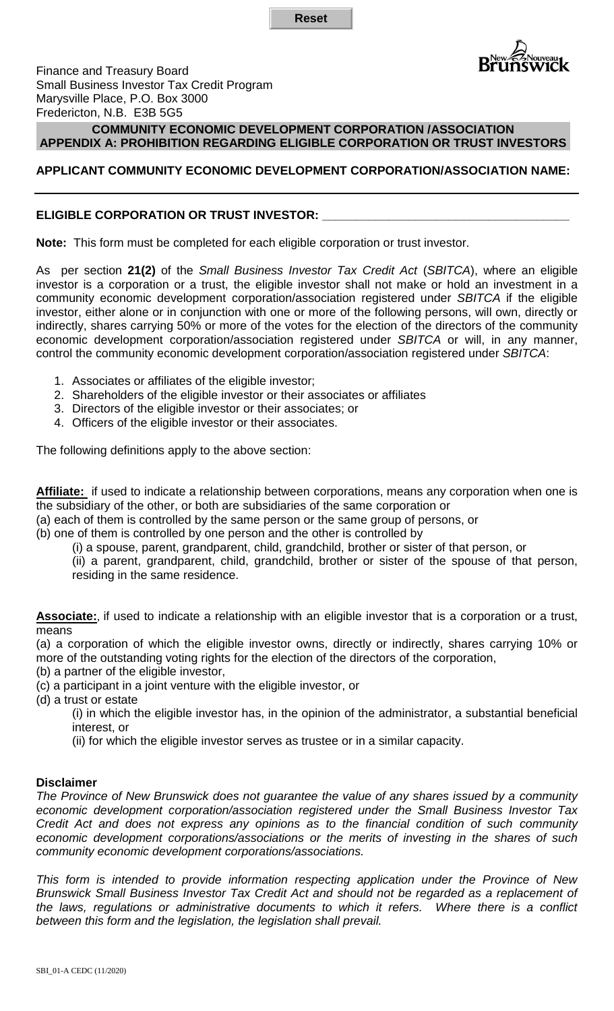**Reset**



Finance and Treasury Board Small Business Investor Tax Credit Program Marysville Place, P.O. Box 3000 Fredericton, N.B. E3B 5G5

### **COMMUNITY ECONOMIC DEVELOPMENT CORPORATION /ASSOCIATION APPENDIX A: PROHIBITION REGARDING ELIGIBLE CORPORATION OR TRUST INVESTORS**

# **APPLICANT COMMUNITY ECONOMIC DEVELOPMENT CORPORATION/ASSOCIATION NAME:**

# **ELIGIBLE CORPORATION OR TRUST INVESTOR: \_\_\_\_\_\_\_\_\_\_\_\_\_\_\_\_\_\_\_\_\_\_\_\_\_\_\_\_\_\_\_\_\_\_\_\_\_**

**Note:** This form must be completed for each eligible corporation or trust investor.

As per section **21(2)** of the *Small Business Investor Tax Credit Act* (*SBITCA*), where an eligible investor is a corporation or a trust, the eligible investor shall not make or hold an investment in a community economic development corporation/association registered under *SBITCA* if the eligible investor, either alone or in conjunction with one or more of the following persons, will own, directly or indirectly, shares carrying 50% or more of the votes for the election of the directors of the community economic development corporation/association registered under *SBITCA* or will, in any manner, control the community economic development corporation/association registered under *SBITCA*:

- 1. Associates or affiliates of the eligible investor;
- 2. Shareholders of the eligible investor or their associates or affiliates
- 3. Directors of the eligible investor or their associates; or
- 4. Officers of the eligible investor or their associates.

The following definitions apply to the above section:

**Affiliate:** if used to indicate a relationship between corporations, means any corporation when one is the subsidiary of the other, or both are subsidiaries of the same corporation or

(a) each of them is controlled by the same person or the same group of persons, or

(b) one of them is controlled by one person and the other is controlled by

(i) a spouse, parent, grandparent, child, grandchild, brother or sister of that person, or

(ii) a parent, grandparent, child, grandchild, brother or sister of the spouse of that person, residing in the same residence.

**Associate:**, if used to indicate a relationship with an eligible investor that is a corporation or a trust, means

(a) a corporation of which the eligible investor owns, directly or indirectly, shares carrying 10% or more of the outstanding voting rights for the election of the directors of the corporation,

(b) a partner of the eligible investor,

(c) a participant in a joint venture with the eligible investor, or

(d) a trust or estate

(i) in which the eligible investor has, in the opinion of the administrator, a substantial beneficial interest, or

(ii) for which the eligible investor serves as trustee or in a similar capacity.

#### **Disclaimer**

*The Province of New Brunswick does not guarantee the value of any shares issued by a community economic development corporation/association registered under the Small Business Investor Tax Credit Act and does not express any opinions as to the financial condition of such community economic development corporations/associations or the merits of investing in the shares of such community economic development corporations/associations.*

*This form is intended to provide information respecting application under the Province of New Brunswick Small Business Investor Tax Credit Act and should not be regarded as a replacement of the laws, regulations or administrative documents to which it refers. Where there is a conflict between this form and the legislation, the legislation shall prevail.*